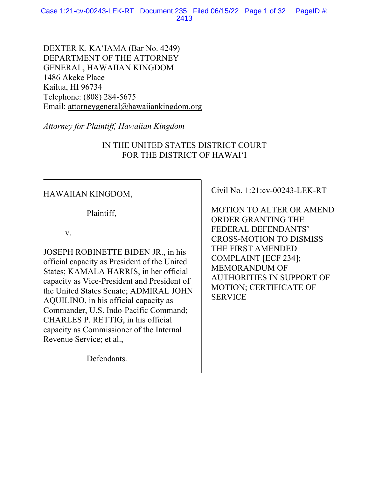Case 1:21-cv-00243-LEK-RT Document 235 Filed 06/15/22 Page 1 of 32 PageID #: 2413

DEXTER K. KA'IAMA (Bar No. 4249) DEPARTMENT OF THE ATTORNEY GENERAL, HAWAIIAN KINGDOM 1486 Akeke Place Kailua, HI 96734 Telephone: (808) 284-5675 Email: attorneygeneral@hawaiiankingdom.org

*Attorney for Plaintiff, Hawaiian Kingdom*

IN THE UNITED STATES DISTRICT COURT FOR THE DISTRICT OF HAWAI'I

### HAWAIIAN KINGDOM,

Plaintiff,

v.

JOSEPH ROBINETTE BIDEN JR., in his official capacity as President of the United States; KAMALA HARRIS, in her official capacity as Vice-President and President of the United States Senate; ADMIRAL JOHN AQUILINO, in his official capacity as Commander, U.S. Indo-Pacific Command; CHARLES P. RETTIG, in his official capacity as Commissioner of the Internal Revenue Service; et al.,

Defendants.

Civil No. 1:21:cv-00243-LEK-RT

MOTION TO ALTER OR AMEND ORDER GRANTING THE FEDERAL DEFENDANTS' CROSS-MOTION TO DISMISS THE FIRST AMENDED COMPLAINT [ECF 234]; MEMORANDUM OF AUTHORITIES IN SUPPORT OF MOTION; CERTIFICATE OF **SERVICE**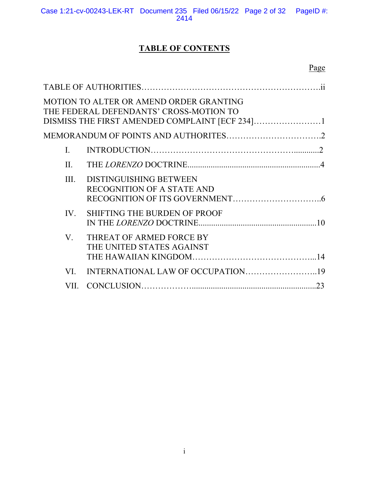# **TABLE OF CONTENTS**

|      | MOTION TO ALTER OR AMEND ORDER GRANTING<br>THE FEDERAL DEFENDANTS' CROSS-MOTION TO |    |
|------|------------------------------------------------------------------------------------|----|
|      |                                                                                    |    |
| I.   |                                                                                    |    |
| II.  |                                                                                    |    |
| III. | <b>DISTINGUISHING BETWEEN</b><br><b>RECOGNITION OF A STATE AND</b>                 |    |
| IV.  | <b>SHIFTING THE BURDEN OF PROOF</b>                                                |    |
| V.   | THREAT OF ARMED FORCE BY<br>THE UNITED STATES AGAINST                              |    |
| VI.  | INTERNATIONAL LAW OF OCCUPATION19                                                  |    |
| VII. |                                                                                    | 23 |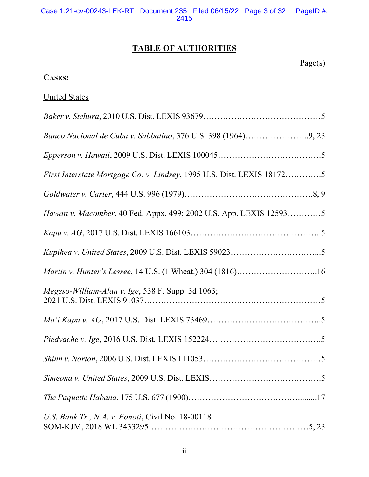# **TABLE OF AUTHORITIES**

 $Page(s)$ 

## **CASES:**

# United States

| Banco Nacional de Cuba v. Sabbatino, 376 U.S. 398 (1964)9, 23          |
|------------------------------------------------------------------------|
|                                                                        |
| First Interstate Mortgage Co. v. Lindsey, 1995 U.S. Dist. LEXIS 181725 |
|                                                                        |
| Hawaii v. Macomber, 40 Fed. Appx. 499; 2002 U.S. App. LEXIS 125935     |
|                                                                        |
|                                                                        |
|                                                                        |
| Megeso-William-Alan v. Ige, 538 F. Supp. 3d 1063;                      |
|                                                                        |
|                                                                        |
|                                                                        |
|                                                                        |
|                                                                        |
| U.S. Bank Tr., N.A. v. Fonoti, Civil No. 18-00118                      |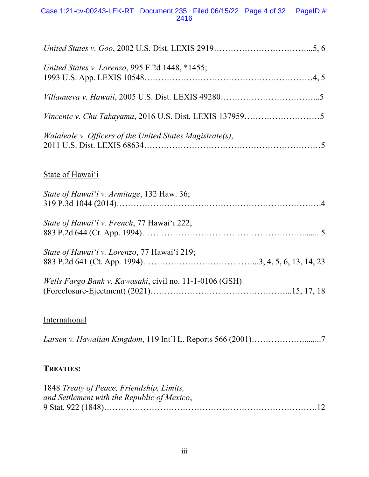### Case 1:21-cv-00243-LEK-RT Document 235 Filed 06/15/22 Page 4 of 32 PageID #: 2416

| United States v. Lorenzo, 995 F.2d 1448, *1455;                  |
|------------------------------------------------------------------|
|                                                                  |
|                                                                  |
| <i>Waialeale v. Officers of the United States Magistrate(s),</i> |
| State of Hawai'i                                                 |
| State of Hawai'i v. Armitage, 132 Haw. 36;                       |
| State of Hawai'i v. French, 77 Hawai'i 222;                      |
| State of Hawai'i v. Lorenzo, 77 Hawai'i 219;                     |

| Wells Fargo Bank v. Kawasaki, civil no. 11-1-0106 (GSH) |  |
|---------------------------------------------------------|--|
|                                                         |  |

# **International**

| Larsen v. Hawaiian Kingdom, 119 Int'l L. Reports 566 (2001)7 |  |  |
|--------------------------------------------------------------|--|--|
|--------------------------------------------------------------|--|--|

### **TREATIES:**

| 1848 Treaty of Peace, Friendship, Limits,   |  |
|---------------------------------------------|--|
| and Settlement with the Republic of Mexico, |  |
|                                             |  |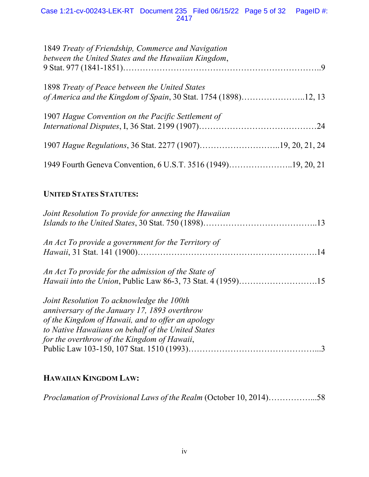Case 1:21-cv-00243-LEK-RT Document 235 Filed 06/15/22 Page 5 of 32 PageID #: 2417

| 1849 Treaty of Friendship, Commerce and Navigation<br>between the United States and the Hawaiian Kingdom,         |  |
|-------------------------------------------------------------------------------------------------------------------|--|
| 1898 Treaty of Peace between the United States<br>of America and the Kingdom of Spain, 30 Stat. 1754 (1898)12, 13 |  |
| 1907 Hague Convention on the Pacific Settlement of                                                                |  |
|                                                                                                                   |  |
| 1949 Fourth Geneva Convention, 6 U.S.T. 3516 (1949)19, 20, 21                                                     |  |

## **UNITED STATES STATUTES:**

| Joint Resolution To provide for annexing the Hawaiian                                                                                                                                                                                                |
|------------------------------------------------------------------------------------------------------------------------------------------------------------------------------------------------------------------------------------------------------|
| An Act To provide a government for the Territory of                                                                                                                                                                                                  |
| An Act To provide for the admission of the State of                                                                                                                                                                                                  |
| Joint Resolution To acknowledge the 100th<br>anniversary of the January 17, 1893 overthrow<br>of the Kingdom of Hawaii, and to offer an apology<br>to Native Hawaiians on behalf of the United States<br>for the overthrow of the Kingdom of Hawaii, |

# **HAWAIIAN KINGDOM LAW:**

*Proclamation of Provisional Laws of the Realm* (October 10, 2014)……………...58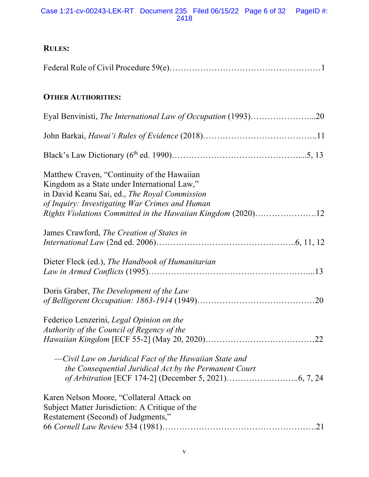Case 1:21-cv-00243-LEK-RT Document 235 Filed 06/15/22 Page 6 of 32 PageID #: 2418

| <b>RULES:</b>                                                                                                                                                                                                                                                  |
|----------------------------------------------------------------------------------------------------------------------------------------------------------------------------------------------------------------------------------------------------------------|
|                                                                                                                                                                                                                                                                |
| <b>OTHER AUTHORITIES:</b>                                                                                                                                                                                                                                      |
|                                                                                                                                                                                                                                                                |
|                                                                                                                                                                                                                                                                |
|                                                                                                                                                                                                                                                                |
| Matthew Craven, "Continuity of the Hawaiian<br>Kingdom as a State under International Law,"<br>in David Keanu Sai, ed., The Royal Commission<br>of Inquiry: Investigating War Crimes and Human<br>Rights Violations Committed in the Hawaiian Kingdom (2020)12 |
| James Crawford, The Creation of States in                                                                                                                                                                                                                      |
| Dieter Fleck (ed.), The Handbook of Humanitarian                                                                                                                                                                                                               |
| Doris Graber, The Development of the Law                                                                                                                                                                                                                       |
| Federico Lenzerini, Legal Opinion on the<br>Authority of the Council of Regency of the<br>—Civil Law on Juridical Fact of the Hawaiian State and<br>the Consequential Juridical Act by the Permanent Court                                                     |
| Karen Nelson Moore, "Collateral Attack on<br>Subject Matter Jurisdiction: A Critique of the<br>Restatement (Second) of Judgments,"                                                                                                                             |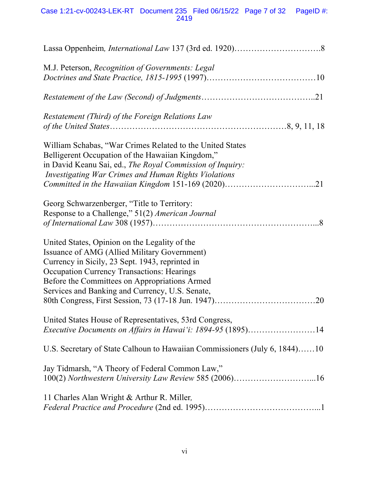| M.J. Peterson, Recognition of Governments: Legal                                                                                                                                                                                                                                                                 |
|------------------------------------------------------------------------------------------------------------------------------------------------------------------------------------------------------------------------------------------------------------------------------------------------------------------|
|                                                                                                                                                                                                                                                                                                                  |
| Restatement (Third) of the Foreign Relations Law                                                                                                                                                                                                                                                                 |
| William Schabas, "War Crimes Related to the United States<br>Belligerent Occupation of the Hawaiian Kingdom,"<br>in David Keanu Sai, ed., The Royal Commission of Inquiry:<br><b>Investigating War Crimes and Human Rights Violations</b>                                                                        |
| Georg Schwarzenberger, "Title to Territory:<br>Response to a Challenge," 51(2) American Journal                                                                                                                                                                                                                  |
| United States, Opinion on the Legality of the<br>Issuance of AMG (Allied Military Government)<br>Currency in Sicily, 23 Sept. 1943, reprinted in<br><b>Occupation Currency Transactions: Hearings</b><br>Before the Committees on Appropriations Armed<br>Services and Banking and Currency, U.S. Senate,<br>.20 |
| United States House of Representatives, 53rd Congress,<br>Executive Documents on Affairs in Hawai'i: 1894-95 (1895)14                                                                                                                                                                                            |
| U.S. Secretary of State Calhoun to Hawaiian Commissioners (July 6, 1844)10                                                                                                                                                                                                                                       |
| Jay Tidmarsh, "A Theory of Federal Common Law,"<br>100(2) Northwestern University Law Review 585 (2006)16                                                                                                                                                                                                        |
| 11 Charles Alan Wright & Arthur R. Miller,                                                                                                                                                                                                                                                                       |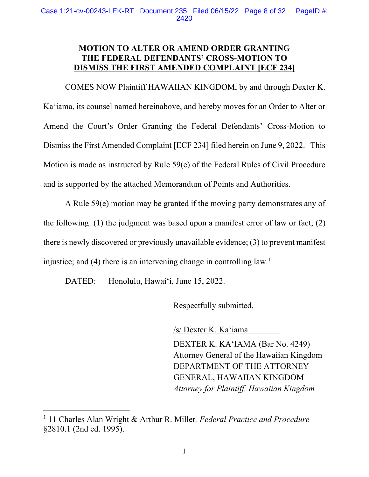### **MOTION TO ALTER OR AMEND ORDER GRANTING THE FEDERAL DEFENDANTS' CROSS-MOTION TO DISMISS THE FIRST AMENDED COMPLAINT [ECF 234]**

COMES NOW Plaintiff HAWAIIAN KINGDOM, by and through Dexter K. Ka'iama, its counsel named hereinabove, and hereby moves for an Order to Alter or Amend the Court's Order Granting the Federal Defendants' Cross-Motion to Dismiss the First Amended Complaint [ECF 234] filed herein on June 9, 2022. This Motion is made as instructed by Rule 59(e) of the Federal Rules of Civil Procedure and is supported by the attached Memorandum of Points and Authorities.

A Rule 59(e) motion may be granted if the moving party demonstrates any of the following: (1) the judgment was based upon a manifest error of law or fact; (2) there is newly discovered or previously unavailable evidence; (3) to prevent manifest injustice; and  $(4)$  there is an intervening change in controlling law.<sup>1</sup>

DATED: Honolulu, Hawai'i, June 15, 2022.

Respectfully submitted,

/s/ Dexter K. Ka'iama

DEXTER K. KA'IAMA (Bar No. 4249) Attorney General of the Hawaiian Kingdom DEPARTMENT OF THE ATTORNEY GENERAL, HAWAIIAN KINGDOM *Attorney for Plaintiff, Hawaiian Kingdom*

<sup>1</sup> 11 Charles Alan Wright & Arthur R. Miller*, Federal Practice and Procedure* §2810.1 (2nd ed. 1995).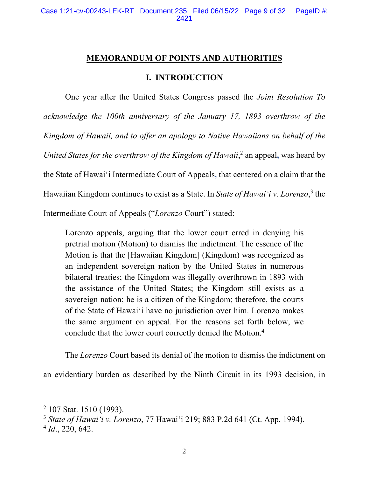### **MEMORANDUM OF POINTS AND AUTHORITIES**

### **I. INTRODUCTION**

One year after the United States Congress passed the *Joint Resolution To acknowledge the 100th anniversary of the January 17, 1893 overthrow of the Kingdom of Hawaii, and to offer an apology to Native Hawaiians on behalf of the*  United States for the overthrow of the Kingdom of Hawaii,<sup>2</sup> an appeal, was heard by the State of Hawai'i Intermediate Court of Appeals**,** that centered on a claim that the Hawaiian Kingdom continues to exist as a State. In *State of Hawai'i v. Lorenzo*, <sup>3</sup> the Intermediate Court of Appeals ("*Lorenzo* Court") stated:

Lorenzo appeals, arguing that the lower court erred in denying his pretrial motion (Motion) to dismiss the indictment. The essence of the Motion is that the [Hawaiian Kingdom] (Kingdom) was recognized as an independent sovereign nation by the United States in numerous bilateral treaties; the Kingdom was illegally overthrown in 1893 with the assistance of the United States; the Kingdom still exists as a sovereign nation; he is a citizen of the Kingdom; therefore, the courts of the State of Hawai'i have no jurisdiction over him. Lorenzo makes the same argument on appeal. For the reasons set forth below, we conclude that the lower court correctly denied the Motion.4

The *Lorenzo* Court based its denial of the motion to dismiss the indictment on

an evidentiary burden as described by the Ninth Circuit in its 1993 decision, in

<sup>&</sup>lt;sup>2</sup> 107 Stat. 1510 (1993).

<sup>3</sup> *State of Hawai'i v. Lorenzo*, 77 Hawai'i 219; 883 P.2d 641 (Ct. App. 1994).

<sup>4</sup> *Id*., 220, 642.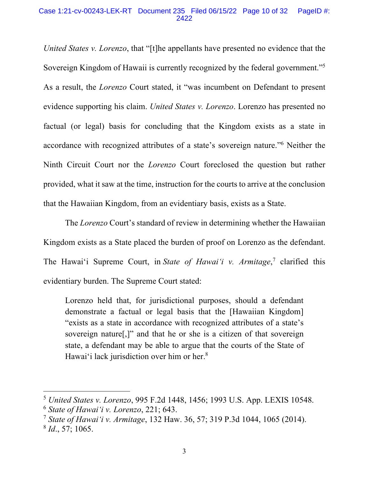#### Case 1:21-cv-00243-LEK-RT Document 235 Filed 06/15/22 Page 10 of 32 PageID #: 2422

*United States v. Lorenzo*, that "[t]he appellants have presented no evidence that the Sovereign Kingdom of Hawaii is currently recognized by the federal government."5 As a result, the *Lorenzo* Court stated, it "was incumbent on Defendant to present evidence supporting his claim. *United States v. Lorenzo*. Lorenzo has presented no factual (or legal) basis for concluding that the Kingdom exists as a state in accordance with recognized attributes of a state's sovereign nature."6 Neither the Ninth Circuit Court nor the *Lorenzo* Court foreclosed the question but rather provided, what it saw at the time, instruction for the courts to arrive at the conclusion that the Hawaiian Kingdom, from an evidentiary basis, exists as a State.

The *Lorenzo* Court's standard of review in determining whether the Hawaiian Kingdom exists as a State placed the burden of proof on Lorenzo as the defendant. The Hawai'i Supreme Court, in *State of Hawai'i v. Armitage*, <sup>7</sup> clarified this evidentiary burden. The Supreme Court stated:

Lorenzo held that, for jurisdictional purposes, should a defendant demonstrate a factual or legal basis that the [Hawaiian Kingdom] "exists as a state in accordance with recognized attributes of a state's sovereign nature[,]" and that he or she is a citizen of that sovereign state, a defendant may be able to argue that the courts of the State of Hawai'i lack jurisdiction over him or her.<sup>8</sup>

<sup>5</sup> *United States v. Lorenzo*, 995 F.2d 1448, 1456; 1993 U.S. App. LEXIS 10548.

<sup>6</sup> *State of Hawai'i v. Lorenzo*, 221; 643.

<sup>7</sup> *State of Hawai'i v. Armitage*, 132 Haw. 36, 57; 319 P.3d 1044, 1065 (2014).

<sup>8</sup> *Id*., 57; 1065.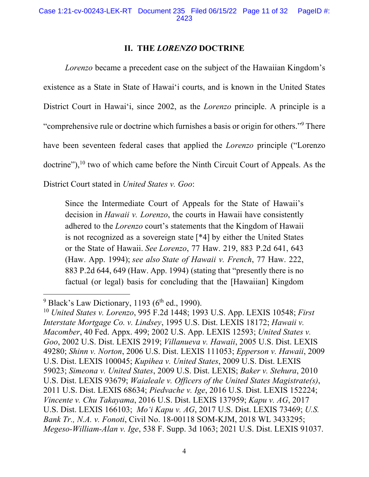### **II. THE** *LORENZO* **DOCTRINE**

*Lorenzo* became a precedent case on the subject of the Hawaiian Kingdom's existence as a State in State of Hawai'i courts, and is known in the United States District Court in Hawai'i, since 2002, as the *Lorenzo* principle. A principle is a "comprehensive rule or doctrine which furnishes a basis or origin for others."9 There have been seventeen federal cases that applied the *Lorenzo* principle ("Lorenzo doctrine"), <sup>10</sup> two of which came before the Ninth Circuit Court of Appeals. As the

District Court stated in *United States v. Goo*:

Since the Intermediate Court of Appeals for the State of Hawaii's decision in *Hawaii v. Lorenzo*, the courts in Hawaii have consistently adhered to the *Lorenzo* court's statements that the Kingdom of Hawaii is not recognized as a sovereign state [\*4] by either the United States or the State of Hawaii. *See Lorenzo*, 77 Haw. 219, 883 P.2d 641, 643 (Haw. App. 1994); *see also State of Hawaii v. French*, 77 Haw. 222, 883 P.2d 644, 649 (Haw. App. 1994) (stating that "presently there is no factual (or legal) basis for concluding that the [Hawaiian] Kingdom

 $9$  Black's Law Dictionary, 1193 ( $6<sup>th</sup>$  ed., 1990).

<sup>10</sup> *United States v. Lorenzo*, 995 F.2d 1448; 1993 U.S. App. LEXIS 10548; *First Interstate Mortgage Co. v. Lindsey*, 1995 U.S. Dist. LEXIS 18172; *Hawaii v. Macomber*, 40 Fed. Appx. 499; 2002 U.S. App. LEXIS 12593; *United States v. Goo*, 2002 U.S. Dist. LEXIS 2919; *Villanueva v. Hawaii*, 2005 U.S. Dist. LEXIS 49280; *Shinn v. Norton*, 2006 U.S. Dist. LEXIS 111053; *Epperson v. Hawaii*, 2009 U.S. Dist. LEXIS 100045; *Kupihea v. United States*, 2009 U.S. Dist. LEXIS 59023; *Simeona v. United States*, 2009 U.S. Dist. LEXIS; *Baker v. Stehura*, 2010 U.S. Dist. LEXIS 93679; *Waialeale v. Officers of the United States Magistrate(s)*, 2011 U.S. Dist. LEXIS 68634; *Piedvache v. Ige*, 2016 U.S. Dist. LEXIS 152224; *Vincente v. Chu Takayama*, 2016 U.S. Dist. LEXIS 137959; *Kapu v. AG*, 2017 U.S. Dist. LEXIS 166103; *Mo'i Kapu v. AG*, 2017 U.S. Dist. LEXIS 73469; *U.S. Bank Tr., N.A. v. Fonoti*, Civil No. 18-00118 SOM-KJM, 2018 WL 3433295; *Megeso-William-Alan v. Ige*, 538 F. Supp. 3d 1063; 2021 U.S. Dist. LEXIS 91037.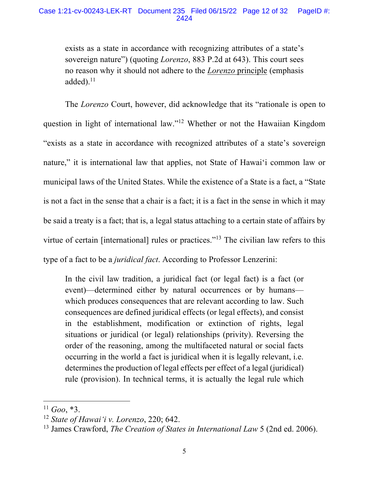exists as a state in accordance with recognizing attributes of a state's sovereign nature") (quoting *Lorenzo*, 883 P.2d at 643). This court sees no reason why it should not adhere to the *Lorenzo* principle (emphasis added). $11$ 

The *Lorenzo* Court, however, did acknowledge that its "rationale is open to question in light of international law."12 Whether or not the Hawaiian Kingdom "exists as a state in accordance with recognized attributes of a state's sovereign nature," it is international law that applies, not State of Hawai'i common law or municipal laws of the United States. While the existence of a State is a fact, a "State is not a fact in the sense that a chair is a fact; it is a fact in the sense in which it may be said a treaty is a fact; that is, a legal status attaching to a certain state of affairs by virtue of certain [international] rules or practices."<sup>13</sup> The civilian law refers to this type of a fact to be a *juridical fact*. According to Professor Lenzerini:

In the civil law tradition, a juridical fact (or legal fact) is a fact (or event)—determined either by natural occurrences or by humans which produces consequences that are relevant according to law. Such consequences are defined juridical effects (or legal effects), and consist in the establishment, modification or extinction of rights, legal situations or juridical (or legal) relationships (privity). Reversing the order of the reasoning, among the multifaceted natural or social facts occurring in the world a fact is juridical when it is legally relevant, i.e. determines the production of legal effects per effect of a legal (juridical) rule (provision). In technical terms, it is actually the legal rule which

 $^{11}$  *Goo*,  $*3$ .

<sup>12</sup> *State of Hawai'i v. Lorenzo*, 220; 642.

<sup>13</sup> James Crawford, *The Creation of States in International Law* 5 (2nd ed. 2006).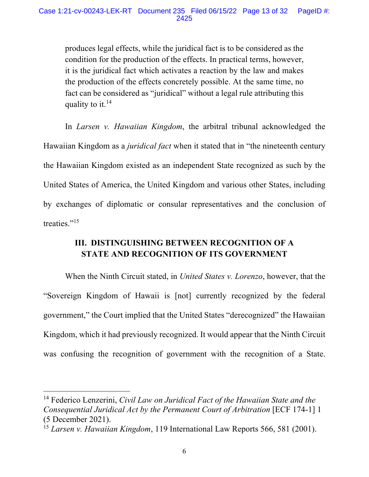produces legal effects, while the juridical fact is to be considered as the condition for the production of the effects. In practical terms, however, it is the juridical fact which activates a reaction by the law and makes the production of the effects concretely possible. At the same time, no fact can be considered as "juridical" without a legal rule attributing this quality to it.14

In *Larsen v. Hawaiian Kingdom*, the arbitral tribunal acknowledged the Hawaiian Kingdom as a *juridical fact* when it stated that in "the nineteenth century the Hawaiian Kingdom existed as an independent State recognized as such by the United States of America, the United Kingdom and various other States, including by exchanges of diplomatic or consular representatives and the conclusion of treaties."<sup>15</sup>

# **III. DISTINGUISHING BETWEEN RECOGNITION OF A STATE AND RECOGNITION OF ITS GOVERNMENT**

When the Ninth Circuit stated, in *United States v. Lorenzo*, however, that the "Sovereign Kingdom of Hawaii is [not] currently recognized by the federal government," the Court implied that the United States "derecognized" the Hawaiian Kingdom, which it had previously recognized. It would appear that the Ninth Circuit was confusing the recognition of government with the recognition of a State.

<sup>14</sup> Federico Lenzerini, *Civil Law on Juridical Fact of the Hawaiian State and the Consequential Juridical Act by the Permanent Court of Arbitration* [ECF 174-1] 1 (5 December 2021).

<sup>15</sup> *Larsen v. Hawaiian Kingdom*, 119 International Law Reports 566, 581 (2001).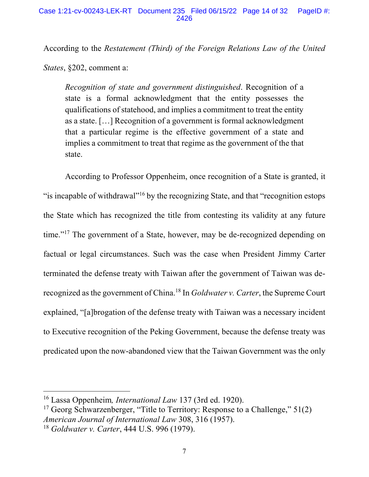According to the *Restatement (Third) of the Foreign Relations Law of the United* 

*States*, §202, comment a:

*Recognition of state and government distinguished*. Recognition of a state is a formal acknowledgment that the entity possesses the qualifications of statehood, and implies a commitment to treat the entity as a state. […] Recognition of a government is formal acknowledgment that a particular regime is the effective government of a state and implies a commitment to treat that regime as the government of the that state.

According to Professor Oppenheim, once recognition of a State is granted, it "is incapable of withdrawal"<sup>16</sup> by the recognizing State, and that "recognition estops" the State which has recognized the title from contesting its validity at any future time."<sup>17</sup> The government of a State, however, may be de-recognized depending on factual or legal circumstances. Such was the case when President Jimmy Carter terminated the defense treaty with Taiwan after the government of Taiwan was derecognized as the government of China.18 In *Goldwater v. Carter*, the Supreme Court explained, "[a]brogation of the defense treaty with Taiwan was a necessary incident to Executive recognition of the Peking Government, because the defense treaty was predicated upon the now-abandoned view that the Taiwan Government was the only

<sup>16</sup> Lassa Oppenheim*, International Law* 137 (3rd ed. 1920).

<sup>&</sup>lt;sup>17</sup> Georg Schwarzenberger, "Title to Territory: Response to a Challenge,"  $51(2)$ *American Journal of International Law* 308, 316 (1957). <sup>18</sup> *Goldwater v. Carter*, 444 U.S. 996 (1979).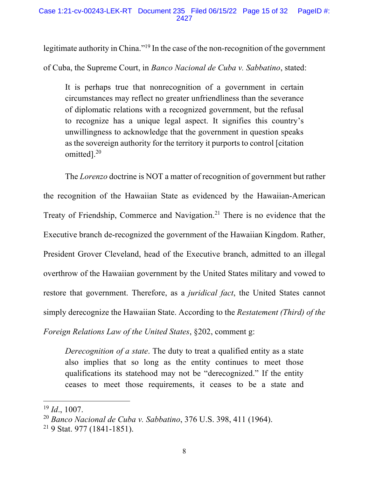legitimate authority in China."<sup>19</sup> In the case of the non-recognition of the government of Cuba, the Supreme Court, in *Banco Nacional de Cuba v. Sabbatino*, stated:

It is perhaps true that nonrecognition of a government in certain circumstances may reflect no greater unfriendliness than the severance of diplomatic relations with a recognized government, but the refusal to recognize has a unique legal aspect. It signifies this country's unwillingness to acknowledge that the government in question speaks as the sovereign authority for the territory it purports to control [citation omitted].20

The *Lorenzo* doctrine is NOT a matter of recognition of government but rather the recognition of the Hawaiian State as evidenced by the Hawaiian-American Treaty of Friendship, Commerce and Navigation.<sup>21</sup> There is no evidence that the Executive branch de-recognized the government of the Hawaiian Kingdom. Rather, President Grover Cleveland, head of the Executive branch, admitted to an illegal overthrow of the Hawaiian government by the United States military and vowed to restore that government. Therefore, as a *juridical fact*, the United States cannot simply derecognize the Hawaiian State. According to the *Restatement (Third) of the Foreign Relations Law of the United States*, §202, comment g:

*Derecognition of a state*. The duty to treat a qualified entity as a state also implies that so long as the entity continues to meet those qualifications its statehood may not be "derecognized." If the entity ceases to meet those requirements, it ceases to be a state and

<sup>19</sup> *Id*., 1007.

<sup>20</sup> *Banco Nacional de Cuba v. Sabbatino*, 376 U.S. 398, 411 (1964).

<sup>21</sup> 9 Stat. 977 (1841-1851).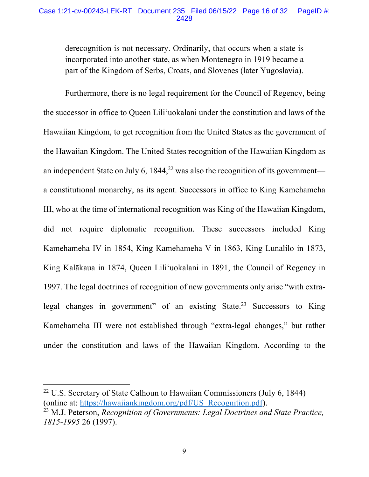### Case 1:21-cv-00243-LEK-RT Document 235 Filed 06/15/22 Page 16 of 32 PageID #: 2428

derecognition is not necessary. Ordinarily, that occurs when a state is incorporated into another state, as when Montenegro in 1919 became a part of the Kingdom of Serbs, Croats, and Slovenes (later Yugoslavia).

Furthermore, there is no legal requirement for the Council of Regency, being the successor in office to Queen Lili'uokalani under the constitution and laws of the Hawaiian Kingdom, to get recognition from the United States as the government of the Hawaiian Kingdom. The United States recognition of the Hawaiian Kingdom as an independent State on July 6,  $1844<sup>22</sup>$  was also the recognition of its government a constitutional monarchy, as its agent. Successors in office to King Kamehameha III, who at the time of international recognition was King of the Hawaiian Kingdom, did not require diplomatic recognition. These successors included King Kamehameha IV in 1854, King Kamehameha V in 1863, King Lunalilo in 1873, King Kalākaua in 1874, Queen Lili'uokalani in 1891, the Council of Regency in 1997. The legal doctrines of recognition of new governments only arise "with extralegal changes in government" of an existing State.<sup>23</sup> Successors to King Kamehameha III were not established through "extra-legal changes," but rather under the constitution and laws of the Hawaiian Kingdom. According to the

<sup>&</sup>lt;sup>22</sup> U.S. Secretary of State Calhoun to Hawaiian Commissioners (July 6, 1844) (online at: https://hawaiiankingdom.org/pdf/US\_Recognition.pdf).

<sup>23</sup> M.J. Peterson, *Recognition of Governments: Legal Doctrines and State Practice, 1815-1995* 26 (1997).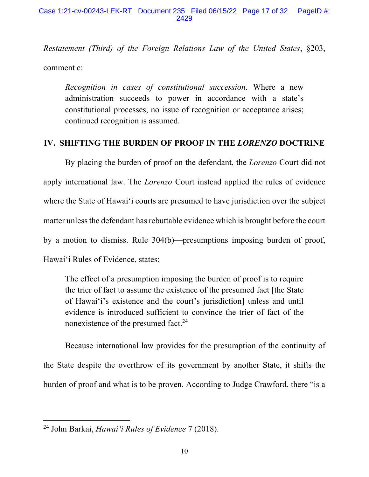*Restatement (Third) of the Foreign Relations Law of the United States*, §203, comment c:

*Recognition in cases of constitutional succession*. Where a new administration succeeds to power in accordance with a state's constitutional processes, no issue of recognition or acceptance arises; continued recognition is assumed.

### **IV. SHIFTING THE BURDEN OF PROOF IN THE** *LORENZO* **DOCTRINE**

By placing the burden of proof on the defendant, the *Lorenzo* Court did not apply international law. The *Lorenzo* Court instead applied the rules of evidence where the State of Hawai'i courts are presumed to have jurisdiction over the subject matter unless the defendant has rebuttable evidence which is brought before the court by a motion to dismiss. Rule 304(b)—presumptions imposing burden of proof, Hawai'i Rules of Evidence, states:

The effect of a presumption imposing the burden of proof is to require the trier of fact to assume the existence of the presumed fact [the State of Hawai'i's existence and the court's jurisdiction] unless and until evidence is introduced sufficient to convince the trier of fact of the nonexistence of the presumed fact.<sup>24</sup>

Because international law provides for the presumption of the continuity of the State despite the overthrow of its government by another State, it shifts the burden of proof and what is to be proven. According to Judge Crawford, there "is a

<sup>24</sup> John Barkai, *Hawai'i Rules of Evidence* 7 (2018).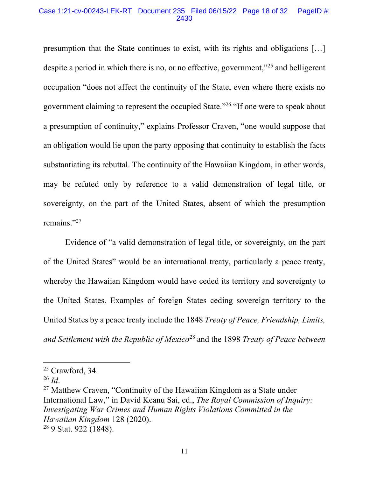#### Case 1:21-cv-00243-LEK-RT Document 235 Filed 06/15/22 Page 18 of 32 PageID #: 2430

presumption that the State continues to exist, with its rights and obligations […] despite a period in which there is no, or no effective, government,<sup>"25</sup> and belligerent occupation "does not affect the continuity of the State, even where there exists no government claiming to represent the occupied State."26 "If one were to speak about a presumption of continuity," explains Professor Craven, "one would suppose that an obligation would lie upon the party opposing that continuity to establish the facts substantiating its rebuttal. The continuity of the Hawaiian Kingdom, in other words, may be refuted only by reference to a valid demonstration of legal title, or sovereignty, on the part of the United States, absent of which the presumption remains."27

Evidence of "a valid demonstration of legal title, or sovereignty, on the part of the United States" would be an international treaty, particularly a peace treaty, whereby the Hawaiian Kingdom would have ceded its territory and sovereignty to the United States. Examples of foreign States ceding sovereign territory to the United States by a peace treaty include the 1848 *Treaty of Peace, Friendship, Limits, and Settlement with the Republic of Mexico*<sup>28</sup> and the 1898 *Treaty of Peace between* 

<sup>27</sup> Matthew Craven, "Continuity of the Hawaiian Kingdom as a State under International Law," in David Keanu Sai, ed., *The Royal Commission of Inquiry: Investigating War Crimes and Human Rights Violations Committed in the Hawaiian Kingdom* 128 (2020). <sup>28</sup> 9 Stat. 922 (1848).

<sup>&</sup>lt;sup>25</sup> Crawford, 34.

 $^{26}$  *Id.*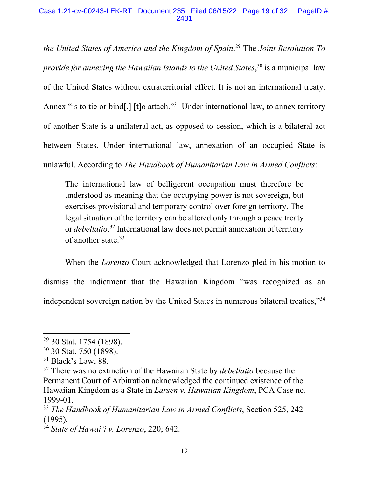### Case 1:21-cv-00243-LEK-RT Document 235 Filed 06/15/22 Page 19 of 32 PageID #: 2431

*the United States of America and the Kingdom of Spain*. <sup>29</sup> The *Joint Resolution To provide for annexing the Hawaiian Islands to the United States*, <sup>30</sup> is a municipal law of the United States without extraterritorial effect. It is not an international treaty. Annex "is to tie or bind[,] [t]o attach."<sup>31</sup> Under international law, to annex territory of another State is a unilateral act, as opposed to cession, which is a bilateral act between States. Under international law, annexation of an occupied State is unlawful. According to *The Handbook of Humanitarian Law in Armed Conflicts*:

The international law of belligerent occupation must therefore be understood as meaning that the occupying power is not sovereign, but exercises provisional and temporary control over foreign territory. The legal situation of the territory can be altered only through a peace treaty or *debellatio*. <sup>32</sup> International law does not permit annexation of territory of another state.<sup>33</sup>

When the *Lorenzo* Court acknowledged that Lorenzo pled in his motion to dismiss the indictment that the Hawaiian Kingdom "was recognized as an independent sovereign nation by the United States in numerous bilateral treaties,"34

<sup>&</sup>lt;sup>29</sup> 30 Stat. 1754 (1898).

<sup>30</sup> 30 Stat. 750 (1898).

 $31$  Black's Law, 88.

<sup>32</sup> There was no extinction of the Hawaiian State by *debellatio* because the Permanent Court of Arbitration acknowledged the continued existence of the Hawaiian Kingdom as a State in *Larsen v. Hawaiian Kingdom*, PCA Case no. 1999-01.

<sup>33</sup> *The Handbook of Humanitarian Law in Armed Conflicts*, Section 525, 242 (1995).

<sup>34</sup> *State of Hawai'i v. Lorenzo*, 220; 642.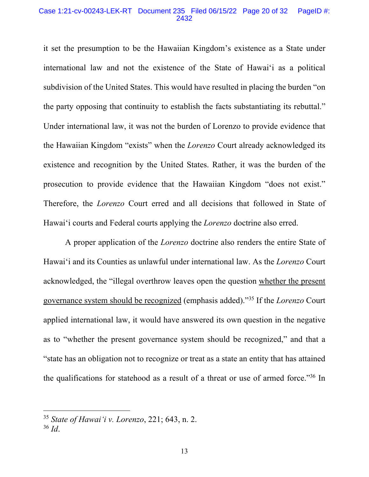#### Case 1:21-cv-00243-LEK-RT Document 235 Filed 06/15/22 Page 20 of 32 PageID #: 2432

it set the presumption to be the Hawaiian Kingdom's existence as a State under international law and not the existence of the State of Hawai'i as a political subdivision of the United States. This would have resulted in placing the burden "on the party opposing that continuity to establish the facts substantiating its rebuttal." Under international law, it was not the burden of Lorenzo to provide evidence that the Hawaiian Kingdom "exists" when the *Lorenzo* Court already acknowledged its existence and recognition by the United States. Rather, it was the burden of the prosecution to provide evidence that the Hawaiian Kingdom "does not exist." Therefore, the *Lorenzo* Court erred and all decisions that followed in State of Hawai'i courts and Federal courts applying the *Lorenzo* doctrine also erred.

A proper application of the *Lorenzo* doctrine also renders the entire State of Hawai'i and its Counties as unlawful under international law. As the *Lorenzo* Court acknowledged, the "illegal overthrow leaves open the question whether the present governance system should be recognized (emphasis added)."35 If the *Lorenzo* Court applied international law, it would have answered its own question in the negative as to "whether the present governance system should be recognized," and that a "state has an obligation not to recognize or treat as a state an entity that has attained the qualifications for statehood as a result of a threat or use of armed force."36 In

<sup>35</sup> *State of Hawai'i v. Lorenzo*, 221; 643, n. 2.

<sup>36</sup> *Id*.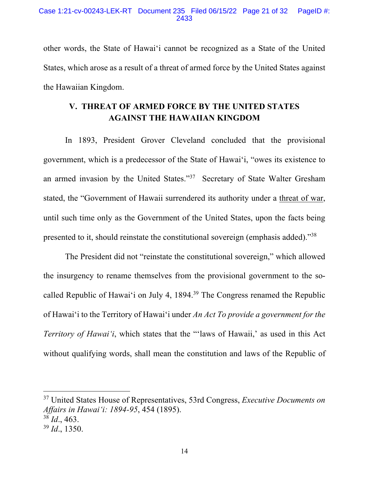other words, the State of Hawai'i cannot be recognized as a State of the United States, which arose as a result of a threat of armed force by the United States against the Hawaiian Kingdom.

# **V. THREAT OF ARMED FORCE BY THE UNITED STATES AGAINST THE HAWAIIAN KINGDOM**

In 1893, President Grover Cleveland concluded that the provisional government, which is a predecessor of the State of Hawai'i, "owes its existence to an armed invasion by the United States."37 Secretary of State Walter Gresham stated, the "Government of Hawaii surrendered its authority under a threat of war, until such time only as the Government of the United States, upon the facts being presented to it, should reinstate the constitutional sovereign (emphasis added)."38

The President did not "reinstate the constitutional sovereign," which allowed the insurgency to rename themselves from the provisional government to the socalled Republic of Hawai'i on July 4, 1894.<sup>39</sup> The Congress renamed the Republic of Hawai'i to the Territory of Hawai'i under *An Act To provide a government for the Territory of Hawai'i*, which states that the "'laws of Hawaii,' as used in this Act without qualifying words, shall mean the constitution and laws of the Republic of

<sup>37</sup> United States House of Representatives, 53rd Congress, *Executive Documents on Affairs in Hawai'i: 1894-95*, 454 (1895).

<sup>38</sup> *Id*., 463.

<sup>39</sup> *Id*., 1350.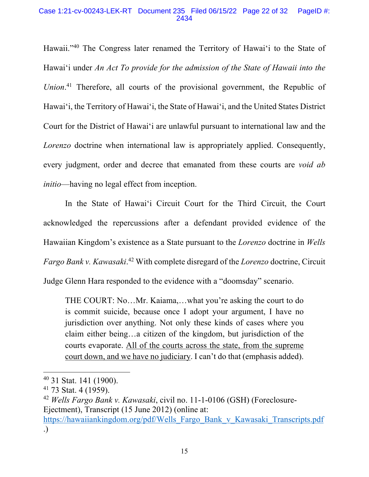### Case 1:21-cv-00243-LEK-RT Document 235 Filed 06/15/22 Page 22 of 32 PageID #: 2434

Hawaii."40 The Congress later renamed the Territory of Hawai'i to the State of Hawai'i under *An Act To provide for the admission of the State of Hawaii into the Union*. <sup>41</sup> Therefore, all courts of the provisional government, the Republic of Hawai'i, the Territory of Hawai'i, the State of Hawai'i, and the United States District Court for the District of Hawai'i are unlawful pursuant to international law and the *Lorenzo* doctrine when international law is appropriately applied. Consequently, every judgment, order and decree that emanated from these courts are *void ab initio*—having no legal effect from inception.

In the State of Hawai'i Circuit Court for the Third Circuit, the Court acknowledged the repercussions after a defendant provided evidence of the Hawaiian Kingdom's existence as a State pursuant to the *Lorenzo* doctrine in *Wells Fargo Bank v. Kawasaki*. <sup>42</sup> With complete disregard of the *Lorenzo* doctrine, Circuit Judge Glenn Hara responded to the evidence with a "doomsday" scenario.

THE COURT: No…Mr. Kaiama,…what you're asking the court to do is commit suicide, because once I adopt your argument, I have no jurisdiction over anything. Not only these kinds of cases where you claim either being…a citizen of the kingdom, but jurisdiction of the courts evaporate. All of the courts across the state, from the supreme court down, and we have no judiciary. I can't do that (emphasis added).

<sup>40</sup> 31 Stat. 141 (1900).

<sup>41</sup> 73 Stat. 4 (1959).

<sup>42</sup> *Wells Fargo Bank v. Kawasaki*, civil no. 11-1-0106 (GSH) (Foreclosure-Ejectment), Transcript (15 June 2012) (online at: https://hawaiiankingdom.org/pdf/Wells\_Fargo\_Bank\_v\_Kawasaki\_Transcripts.pdf .)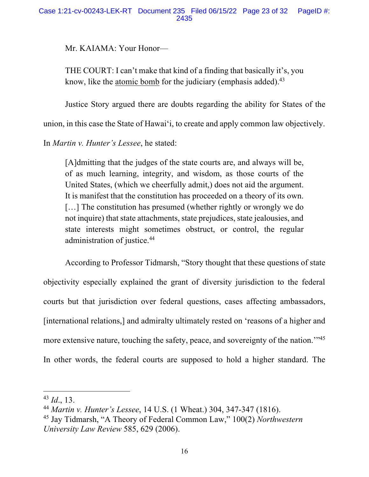### Case 1:21-cv-00243-LEK-RT Document 235 Filed 06/15/22 Page 23 of 32 PageID #: 2435

Mr. KAIAMA: Your Honor—

THE COURT: I can't make that kind of a finding that basically it's, you know, like the atomic bomb for the judiciary (emphasis added). $43$ 

Justice Story argued there are doubts regarding the ability for States of the

union, in this case the State of Hawai'i, to create and apply common law objectively.

In *Martin v. Hunter's Lessee*, he stated:

[A]dmitting that the judges of the state courts are, and always will be, of as much learning, integrity, and wisdom, as those courts of the United States, (which we cheerfully admit,) does not aid the argument. It is manifest that the constitution has proceeded on a theory of its own. [...] The constitution has presumed (whether rightly or wrongly we do not inquire) that state attachments, state prejudices, state jealousies, and state interests might sometimes obstruct, or control, the regular administration of justice.44

According to Professor Tidmarsh, "Story thought that these questions of state objectivity especially explained the grant of diversity jurisdiction to the federal courts but that jurisdiction over federal questions, cases affecting ambassadors, [international relations,] and admiralty ultimately rested on 'reasons of a higher and more extensive nature, touching the safety, peace, and sovereignty of the nation.<sup>"45</sup> In other words, the federal courts are supposed to hold a higher standard. The

<sup>43</sup> *Id*., 13.

<sup>44</sup> *Martin v. Hunter's Lessee*, 14 U.S. (1 Wheat.) 304, 347-347 (1816).

<sup>45</sup> Jay Tidmarsh, "A Theory of Federal Common Law," 100(2) *Northwestern University Law Review* 585, 629 (2006).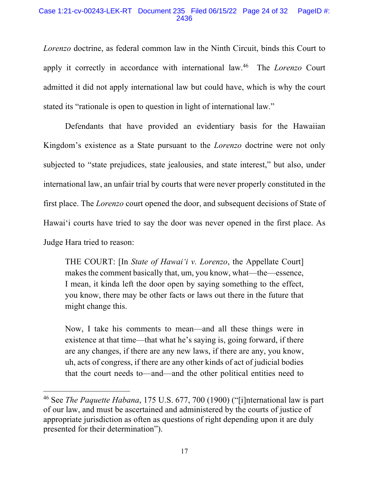### Case 1:21-cv-00243-LEK-RT Document 235 Filed 06/15/22 Page 24 of 32 PageID #: 2436

*Lorenzo* doctrine, as federal common law in the Ninth Circuit, binds this Court to apply it correctly in accordance with international law. <sup>46</sup> The *Lorenzo* Court admitted it did not apply international law but could have, which is why the court stated its "rationale is open to question in light of international law."

Defendants that have provided an evidentiary basis for the Hawaiian Kingdom's existence as a State pursuant to the *Lorenzo* doctrine were not only subjected to "state prejudices, state jealousies, and state interest," but also, under international law, an unfair trial by courts that were never properly constituted in the first place. The *Lorenzo* court opened the door, and subsequent decisions of State of Hawai'i courts have tried to say the door was never opened in the first place. As Judge Hara tried to reason:

THE COURT: [In *State of Hawai'i v. Lorenzo*, the Appellate Court] makes the comment basically that, um, you know, what—the—essence, I mean, it kinda left the door open by saying something to the effect, you know, there may be other facts or laws out there in the future that might change this.

Now, I take his comments to mean—and all these things were in existence at that time—that what he's saying is, going forward, if there are any changes, if there are any new laws, if there are any, you know, uh, acts of congress, if there are any other kinds of act of judicial bodies that the court needs to—and—and the other political entities need to

<sup>46</sup> See *The Paquette Habana*, 175 U.S. 677, 700 (1900) ("[i]nternational law is part of our law, and must be ascertained and administered by the courts of justice of appropriate jurisdiction as often as questions of right depending upon it are duly presented for their determination").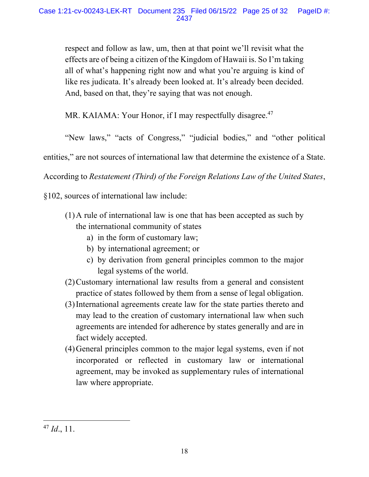respect and follow as law, um, then at that point we'll revisit what the effects are of being a citizen of the Kingdom of Hawaii is. So I'm taking all of what's happening right now and what you're arguing is kind of like res judicata. It's already been looked at. It's already been decided. And, based on that, they're saying that was not enough.

MR. KAIAMA: Your Honor, if I may respectfully disagree.<sup>47</sup>

"New laws," "acts of Congress," "judicial bodies," and "other political

entities," are not sources of international law that determine the existence of a State.

According to *Restatement (Third) of the Foreign Relations Law of the United States*,

§102, sources of international law include:

- (1)A rule of international law is one that has been accepted as such by the international community of states
	- a) in the form of customary law;
	- b) by international agreement; or
	- c) by derivation from general principles common to the major legal systems of the world.
- (2)Customary international law results from a general and consistent practice of states followed by them from a sense of legal obligation.
- (3)International agreements create law for the state parties thereto and may lead to the creation of customary international law when such agreements are intended for adherence by states generally and are in fact widely accepted.
- (4)General principles common to the major legal systems, even if not incorporated or reflected in customary law or international agreement, may be invoked as supplementary rules of international law where appropriate.

<sup>47</sup> *Id*., 11.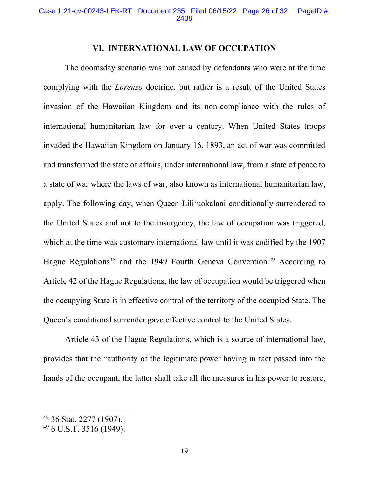### **VI. INTERNATIONAL LAW OF OCCUPATION**

The doomsday scenario was not caused by defendants who were at the time complying with the *Lorenzo* doctrine, but rather is a result of the United States invasion of the Hawaiian Kingdom and its non-compliance with the rules of international humanitarian law for over a century. When United States troops invaded the Hawaiian Kingdom on January 16, 1893, an act of war was committed and transformed the state of affairs, under international law, from a state of peace to a state of war where the laws of war, also known as international humanitarian law, apply. The following day, when Queen Lili'uokalani conditionally surrendered to the United States and not to the insurgency, the law of occupation was triggered, which at the time was customary international law until it was codified by the 1907 Hague Regulations<sup>48</sup> and the 1949 Fourth Geneva Convention.<sup>49</sup> According to Article 42 of the Hague Regulations, the law of occupation would be triggered when the occupying State is in effective control of the territory of the occupied State. The Queen's conditional surrender gave effective control to the United States.

Article 43 of the Hague Regulations, which is a source of international law, provides that the "authority of the legitimate power having in fact passed into the hands of the occupant, the latter shall take all the measures in his power to restore,

<sup>48</sup> 36 Stat. 2277 (1907).

<sup>49</sup> 6 U.S.T. 3516 (1949).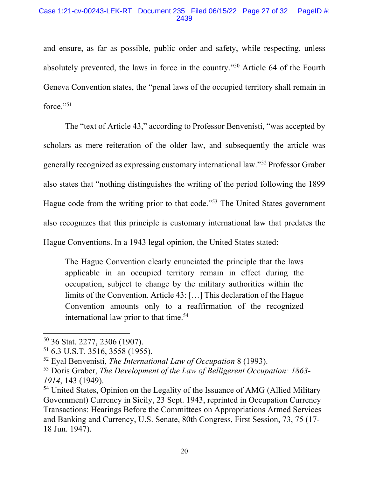and ensure, as far as possible, public order and safety, while respecting, unless absolutely prevented, the laws in force in the country."50 Article 64 of the Fourth Geneva Convention states, the "penal laws of the occupied territory shall remain in force."<sup>51</sup>

The "text of Article 43," according to Professor Benvenisti, "was accepted by scholars as mere reiteration of the older law, and subsequently the article was generally recognized as expressing customary international law."52 Professor Graber also states that "nothing distinguishes the writing of the period following the 1899 Hague code from the writing prior to that code."53 The United States government also recognizes that this principle is customary international law that predates the Hague Conventions. In a 1943 legal opinion, the United States stated:

The Hague Convention clearly enunciated the principle that the laws applicable in an occupied territory remain in effect during the occupation, subject to change by the military authorities within the limits of the Convention. Article 43: […] This declaration of the Hague Convention amounts only to a reaffirmation of the recognized international law prior to that time.<sup>54</sup>

<sup>50</sup> 36 Stat. 2277, 2306 (1907).

<sup>51</sup> 6.3 U.S.T. 3516, 3558 (1955).

<sup>52</sup> Eyal Benvenisti, *The International Law of Occupation* 8 (1993).

<sup>53</sup> Doris Graber, *The Development of the Law of Belligerent Occupation: 1863- 1914*, 143 (1949).

<sup>&</sup>lt;sup>54</sup> United States, Opinion on the Legality of the Issuance of AMG (Allied Military Government) Currency in Sicily, 23 Sept. 1943, reprinted in Occupation Currency Transactions: Hearings Before the Committees on Appropriations Armed Services and Banking and Currency, U.S. Senate, 80th Congress, First Session, 73, 75 (17- 18 Jun. 1947).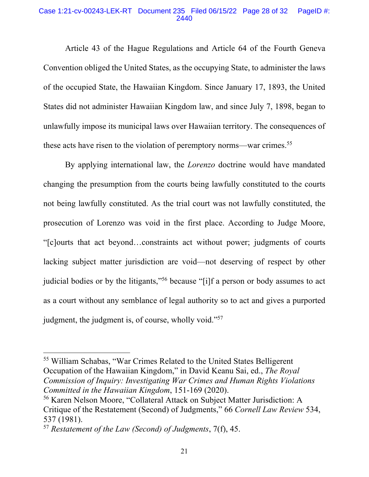#### Case 1:21-cv-00243-LEK-RT Document 235 Filed 06/15/22 Page 28 of 32 PageID #: 2440

Article 43 of the Hague Regulations and Article 64 of the Fourth Geneva Convention obliged the United States, as the occupying State, to administer the laws of the occupied State, the Hawaiian Kingdom. Since January 17, 1893, the United States did not administer Hawaiian Kingdom law, and since July 7, 1898, began to unlawfully impose its municipal laws over Hawaiian territory. The consequences of these acts have risen to the violation of peremptory norms—war crimes.55

By applying international law, the *Lorenzo* doctrine would have mandated changing the presumption from the courts being lawfully constituted to the courts not being lawfully constituted. As the trial court was not lawfully constituted, the prosecution of Lorenzo was void in the first place. According to Judge Moore, "[c]ourts that act beyond…constraints act without power; judgments of courts lacking subject matter jurisdiction are void—not deserving of respect by other judicial bodies or by the litigants,"<sup>56</sup> because "[i]f a person or body assumes to act as a court without any semblance of legal authority so to act and gives a purported judgment, the judgment is, of course, wholly void."<sup>57</sup>

<sup>55</sup> William Schabas, "War Crimes Related to the United States Belligerent Occupation of the Hawaiian Kingdom," in David Keanu Sai, ed., *The Royal Commission of Inquiry: Investigating War Crimes and Human Rights Violations Committed in the Hawaiian Kingdom*, 151-169 (2020).

<sup>56</sup> Karen Nelson Moore, "Collateral Attack on Subject Matter Jurisdiction: A Critique of the Restatement (Second) of Judgments," 66 *Cornell Law Review* 534, 537 (1981).

<sup>57</sup> *Restatement of the Law (Second) of Judgments*, 7(f), 45.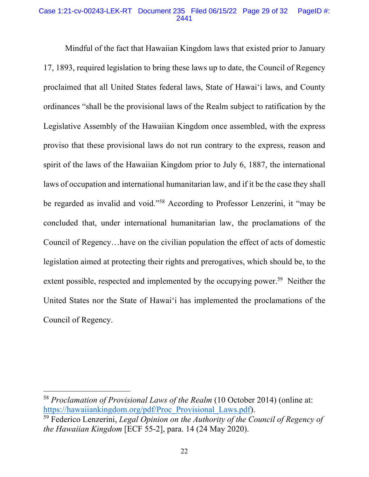### Case 1:21-cv-00243-LEK-RT Document 235 Filed 06/15/22 Page 29 of 32 PageID #: 2441

Mindful of the fact that Hawaiian Kingdom laws that existed prior to January 17, 1893, required legislation to bring these laws up to date, the Council of Regency proclaimed that all United States federal laws, State of Hawai'i laws, and County ordinances "shall be the provisional laws of the Realm subject to ratification by the Legislative Assembly of the Hawaiian Kingdom once assembled, with the express proviso that these provisional laws do not run contrary to the express, reason and spirit of the laws of the Hawaiian Kingdom prior to July 6, 1887, the international laws of occupation and international humanitarian law, and if it be the case they shall be regarded as invalid and void."58 According to Professor Lenzerini, it "may be concluded that, under international humanitarian law, the proclamations of the Council of Regency…have on the civilian population the effect of acts of domestic legislation aimed at protecting their rights and prerogatives, which should be, to the extent possible, respected and implemented by the occupying power.<sup>59</sup> Neither the United States nor the State of Hawai'i has implemented the proclamations of the Council of Regency.

<sup>58</sup> *Proclamation of Provisional Laws of the Realm* (10 October 2014) (online at: https://hawaiiankingdom.org/pdf/Proc\_Provisional\_Laws.pdf).

<sup>59</sup> Federico Lenzerini, *Legal Opinion on the Authority of the Council of Regency of the Hawaiian Kingdom* [ECF 55-2], para. 14 (24 May 2020).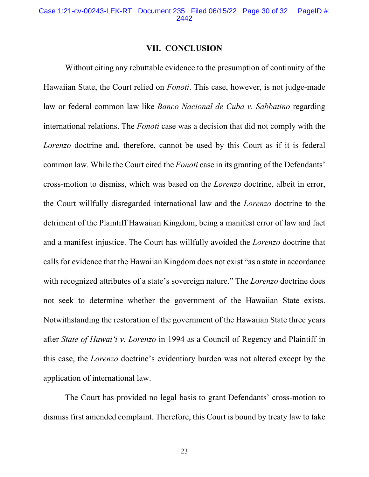### **VII. CONCLUSION**

Without citing any rebuttable evidence to the presumption of continuity of the Hawaiian State, the Court relied on *Fonoti*. This case, however, is not judge-made law or federal common law like *Banco Nacional de Cuba v. Sabbatino* regarding international relations. The *Fonoti* case was a decision that did not comply with the *Lorenzo* doctrine and, therefore, cannot be used by this Court as if it is federal common law. While the Court cited the *Fonoti* case in its granting of the Defendants' cross-motion to dismiss, which was based on the *Lorenzo* doctrine, albeit in error, the Court willfully disregarded international law and the *Lorenzo* doctrine to the detriment of the Plaintiff Hawaiian Kingdom, being a manifest error of law and fact and a manifest injustice. The Court has willfully avoided the *Lorenzo* doctrine that calls for evidence that the Hawaiian Kingdom does not exist "as a state in accordance with recognized attributes of a state's sovereign nature." The *Lorenzo* doctrine does not seek to determine whether the government of the Hawaiian State exists. Notwithstanding the restoration of the government of the Hawaiian State three years after *State of Hawai'i v. Lorenzo* in 1994 as a Council of Regency and Plaintiff in this case, the *Lorenzo* doctrine's evidentiary burden was not altered except by the application of international law.

The Court has provided no legal basis to grant Defendants' cross-motion to dismiss first amended complaint. Therefore, this Court is bound by treaty law to take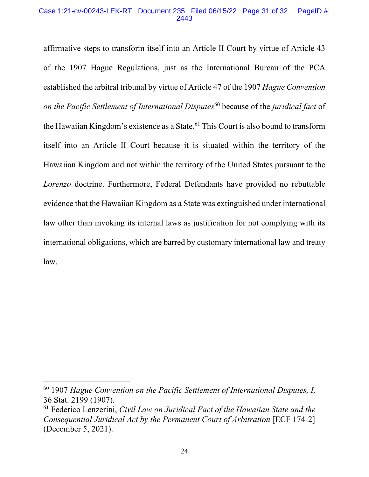#### Case 1:21-cv-00243-LEK-RT Document 235 Filed 06/15/22 Page 31 of 32 PageID #: 2443

affirmative steps to transform itself into an Article II Court by virtue of Article 43 of the 1907 Hague Regulations, just as the International Bureau of the PCA established the arbitral tribunal by virtue of Article 47 of the 1907 *Hague Convention on the Pacific Settlement of International Disputes*<sup>60</sup> because of the *juridical fact* of the Hawaiian Kingdom's existence as a State.<sup>61</sup> This Court is also bound to transform itself into an Article II Court because it is situated within the territory of the Hawaiian Kingdom and not within the territory of the United States pursuant to the *Lorenzo* doctrine. Furthermore, Federal Defendants have provided no rebuttable evidence that the Hawaiian Kingdom as a State was extinguished under international law other than invoking its internal laws as justification for not complying with its international obligations, which are barred by customary international law and treaty law.

<sup>60</sup> 1907 *Hague Convention on the Pacific Settlement of International Disputes, I,*  36 Stat. 2199 (1907).

<sup>61</sup> Federico Lenzerini, *Civil Law on Juridical Fact of the Hawaiian State and the Consequential Juridical Act by the Permanent Court of Arbitration* [ECF 174-2] (December 5, 2021).